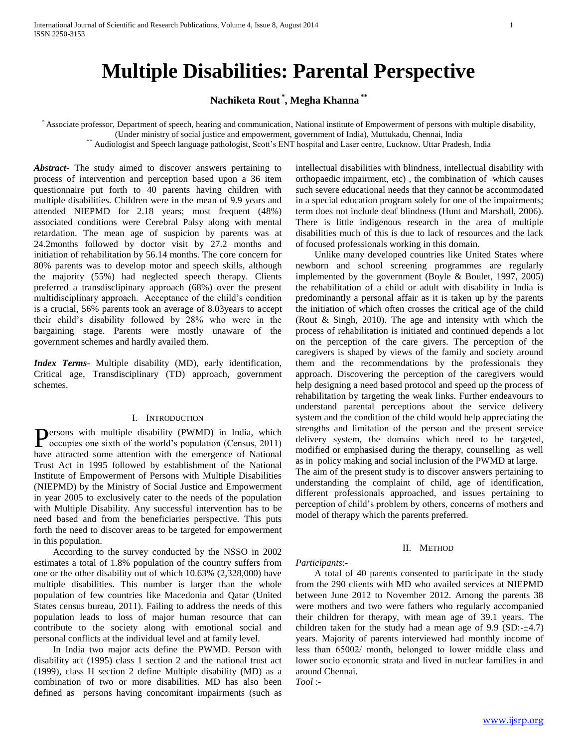# **Multiple Disabilities: Parental Perspective**

# **Nachiketa Rout \* , Megha Khanna \*\***

\* Associate professor, Department of speech, hearing and communication, National institute of Empowerment of persons with multiple disability, (Under ministry of social justice and empowerment, government of India), Muttukadu, Chennai, India \*\* Audiologist and Speech language pathologist, Scott's ENT hospital and Laser centre, Lucknow. Uttar Pradesh, India

*Abstract***-** The study aimed to discover answers pertaining to process of intervention and perception based upon a 36 item questionnaire put forth to 40 parents having children with multiple disabilities. Children were in the mean of 9.9 years and attended NIEPMD for 2.18 years; most frequent (48%) associated conditions were Cerebral Palsy along with mental retardation. The mean age of suspicion by parents was at 24.2months followed by doctor visit by 27.2 months and initiation of rehabilitation by 56.14 months. The core concern for 80% parents was to develop motor and speech skills, although the majority (55%) had neglected speech therapy. Clients preferred a transdisclipinary approach (68%) over the present multidisciplinary approach. Acceptance of the child's condition is a crucial, 56% parents took an average of 8.03years to accept their child's disability followed by 28% who were in the bargaining stage. Parents were mostly unaware of the government schemes and hardly availed them.

*Index Terms*- Multiple disability (MD), early identification, Critical age, Transdisciplinary (TD) approach, government schemes.

#### I. INTRODUCTION

ersons with multiple disability (PWMD) in India, which **P**ersons with multiple disability (PWMD) in India, which occupies one sixth of the world's population (Census, 2011) have attracted some attention with the emergence of National Trust Act in 1995 followed by establishment of the National Institute of Empowerment of Persons with Multiple Disabilities (NIEPMD) by the Ministry of Social Justice and Empowerment in year 2005 to exclusively cater to the needs of the population with Multiple Disability. Any successful intervention has to be need based and from the beneficiaries perspective. This puts forth the need to discover areas to be targeted for empowerment in this population.

 According to the survey conducted by the NSSO in 2002 estimates a total of 1.8% population of the country suffers from one or the other disability out of which 10.63% (2,328,000) have multiple disabilities. This number is larger than the whole population of few countries like Macedonia and Qatar (United States census bureau, 2011). Failing to address the needs of this population leads to loss of major human resource that can contribute to the society along with emotional social and personal conflicts at the individual level and at family level.

 In India two major acts define the PWMD. Person with disability act (1995) class 1 section 2 and the national trust act (1999), class H section 2 define Multiple disability (MD) as a combination of two or more disabilities. MD has also been defined as persons having concomitant impairments (such as intellectual disabilities with blindness, intellectual disability with orthopaedic impairment, etc) , the combination of which causes such severe educational needs that they cannot be accommodated in a special education program solely for one of the impairments; term does not include deaf blindness (Hunt and Marshall, 2006). There is little indigenous research in the area of multiple disabilities much of this is due to lack of resources and the lack of focused professionals working in this domain.

 Unlike many developed countries like United States where newborn and school screening programmes are regularly implemented by the government (Boyle & Boulet, 1997, 2005) the rehabilitation of a child or adult with disability in India is predominantly a personal affair as it is taken up by the parents the initiation of which often crosses the critical age of the child (Rout & Singh, 2010). The age and intensity with which the process of rehabilitation is initiated and continued depends a lot on the perception of the care givers. The perception of the caregivers is shaped by views of the family and society around them and the recommendations by the professionals they approach. Discovering the perception of the caregivers would help designing a need based protocol and speed up the process of rehabilitation by targeting the weak links. Further endeavours to understand parental perceptions about the service delivery system and the condition of the child would help appreciating the strengths and limitation of the person and the present service delivery system, the domains which need to be targeted, modified or emphasised during the therapy, counselling as well as in policy making and social inclusion of the PWMD at large. The aim of the present study is to discover answers pertaining to understanding the complaint of child, age of identification, different professionals approached, and issues pertaining to perception of child's problem by others, concerns of mothers and model of therapy which the parents preferred.

#### II. METHOD

#### *Participants*:-

 A total of 40 parents consented to participate in the study from the 290 clients with MD who availed services at NIEPMD between June 2012 to November 2012. Among the parents 38 were mothers and two were fathers who regularly accompanied their children for therapy, with mean age of 39.1 years. The children taken for the study had a mean age of  $9.9$  (SD: $-±4.7$ ) years. Majority of parents interviewed had monthly income of less than 6500ƻ/ month, belonged to lower middle class and lower socio economic strata and lived in nuclear families in and around Chennai.

*Tool* :-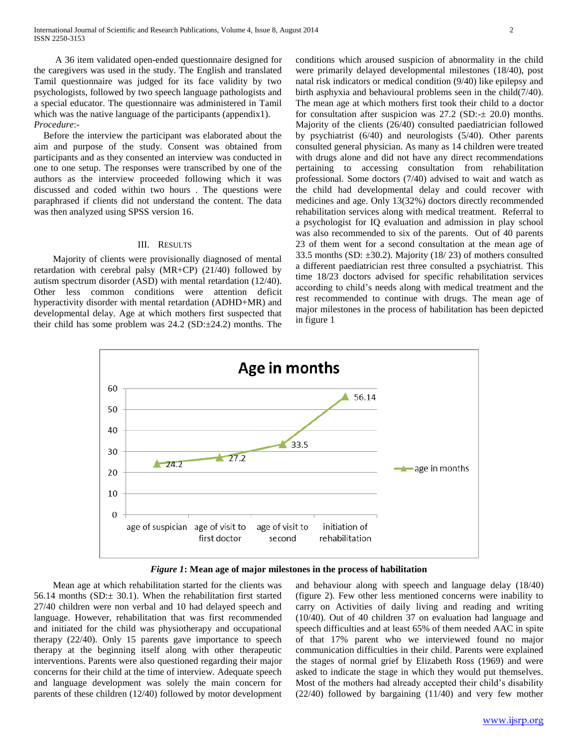A 36 item validated open-ended questionnaire designed for the caregivers was used in the study. The English and translated Tamil questionnaire was judged for its face validity by two psychologists, followed by two speech language pathologists and a special educator. The questionnaire was administered in Tamil which was the native language of the participants (appendix1). *Procedure*:-

 Before the interview the participant was elaborated about the aim and purpose of the study. Consent was obtained from participants and as they consented an interview was conducted in one to one setup. The responses were transcribed by one of the authors as the interview proceeded following which it was discussed and coded within two hours . The questions were paraphrased if clients did not understand the content. The data was then analyzed using SPSS version 16.

#### III. RESULTS

 Majority of clients were provisionally diagnosed of mental retardation with cerebral palsy (MR+CP) (21/40) followed by autism spectrum disorder (ASD) with mental retardation (12/40). Other less common conditions were attention deficit hyperactivity disorder with mental retardation (ADHD+MR) and developmental delay. Age at which mothers first suspected that their child has some problem was 24.2 (SD:±24.2) months. The conditions which aroused suspicion of abnormality in the child were primarily delayed developmental milestones (18/40), post natal risk indicators or medical condition (9/40) like epilepsy and birth asphyxia and behavioural problems seen in the child(7/40). The mean age at which mothers first took their child to a doctor for consultation after suspicion was  $27.2$  (SD: $\pm$  20.0) months. Majority of the clients (26/40) consulted paediatrician followed by psychiatrist (6/40) and neurologists (5/40). Other parents consulted general physician. As many as 14 children were treated with drugs alone and did not have any direct recommendations pertaining to accessing consultation from rehabilitation professional. Some doctors (7/40) advised to wait and watch as the child had developmental delay and could recover with medicines and age. Only 13(32%) doctors directly recommended rehabilitation services along with medical treatment. Referral to a psychologist for IQ evaluation and admission in play school was also recommended to six of the parents. Out of 40 parents 23 of them went for a second consultation at the mean age of 33.5 months (SD:  $\pm$ 30.2). Majority (18/23) of mothers consulted a different paediatrician rest three consulted a psychiatrist. This time 18/23 doctors advised for specific rehabilitation services according to child's needs along with medical treatment and the rest recommended to continue with drugs. The mean age of major milestones in the process of habilitation has been depicted in figure 1



## *Figure 1***: Mean age of major milestones in the process of habilitation**

 Mean age at which rehabilitation started for the clients was 56.14 months (SD: $\pm$  30.1). When the rehabilitation first started 27/40 children were non verbal and 10 had delayed speech and language. However, rehabilitation that was first recommended and initiated for the child was physiotherapy and occupational therapy (22/40). Only 15 parents gave importance to speech therapy at the beginning itself along with other therapeutic interventions. Parents were also questioned regarding their major concerns for their child at the time of interview. Adequate speech and language development was solely the main concern for parents of these children (12/40) followed by motor development

and behaviour along with speech and language delay (18/40) (figure 2). Few other less mentioned concerns were inability to carry on Activities of daily living and reading and writing (10/40). Out of 40 children 37 on evaluation had language and speech difficulties and at least 65% of them needed AAC in spite of that 17% parent who we interviewed found no major communication difficulties in their child. Parents were explained the stages of normal grief by Elizabeth Ross (1969) and were asked to indicate the stage in which they would put themselves. Most of the mothers had already accepted their child's disability (22/40) followed by bargaining (11/40) and very few mother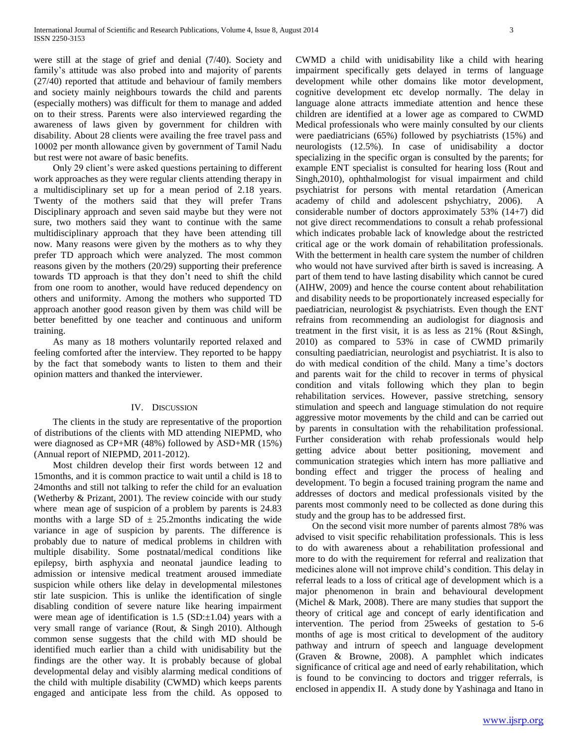were still at the stage of grief and denial (7/40). Society and family's attitude was also probed into and majority of parents (27/40) reported that attitude and behaviour of family members and society mainly neighbours towards the child and parents (especially mothers) was difficult for them to manage and added on to their stress. Parents were also interviewed regarding the awareness of laws given by government for children with disability. About 28 clients were availing the free travel pass and 1000ƻ per month allowance given by government of Tamil Nadu but rest were not aware of basic benefits.

 Only 29 client's were asked questions pertaining to different work approaches as they were regular clients attending therapy in a multidisciplinary set up for a mean period of 2.18 years. Twenty of the mothers said that they will prefer Trans Disciplinary approach and seven said maybe but they were not sure, two mothers said they want to continue with the same multidisciplinary approach that they have been attending till now. Many reasons were given by the mothers as to why they prefer TD approach which were analyzed. The most common reasons given by the mothers (20/29) supporting their preference towards TD approach is that they don't need to shift the child from one room to another, would have reduced dependency on others and uniformity. Among the mothers who supported TD approach another good reason given by them was child will be better benefitted by one teacher and continuous and uniform training.

 As many as 18 mothers voluntarily reported relaxed and feeling comforted after the interview. They reported to be happy by the fact that somebody wants to listen to them and their opinion matters and thanked the interviewer.

## IV. DISCUSSION

 The clients in the study are representative of the proportion of distributions of the clients with MD attending NIEPMD, who were diagnosed as CP+MR (48%) followed by ASD+MR (15%) (Annual report of NIEPMD, 2011-2012).

 Most children develop their first words between 12 and 15months, and it is common practice to wait until a child is 18 to 24months and still not talking to refer the child for an evaluation (Wetherby & Prizant, 2001). The review coincide with our study where mean age of suspicion of a problem by parents is 24.83 months with a large SD of  $\pm$  25.2months indicating the wide variance in age of suspicion by parents. The difference is probably due to nature of medical problems in children with multiple disability. Some postnatal/medical conditions like epilepsy, birth asphyxia and neonatal jaundice leading to admission or intensive medical treatment aroused immediate suspicion while others like delay in developmental milestones stir late suspicion. This is unlike the identification of single disabling condition of severe nature like hearing impairment were mean age of identification is  $1.5$  (SD: $\pm$ 1.04) years with a very small range of variance (Rout, & Singh 2010). Although common sense suggests that the child with MD should be identified much earlier than a child with unidisability but the findings are the other way. It is probably because of global developmental delay and visibly alarming medical conditions of the child with multiple disability (CWMD) which keeps parents engaged and anticipate less from the child. As opposed to

CWMD a child with unidisability like a child with hearing impairment specifically gets delayed in terms of language development while other domains like motor development, cognitive development etc develop normally. The delay in language alone attracts immediate attention and hence these children are identified at a lower age as compared to CWMD Medical professionals who were mainly consulted by our clients were paediatricians (65%) followed by psychiatrists (15%) and neurologists (12.5%). In case of unidisability a doctor specializing in the specific organ is consulted by the parents; for example ENT specialist is consulted for hearing loss (Rout and Singh,2010), ophthalmologist for visual impairment and child psychiatrist for persons with mental retardation (American academy of child and adolescent pshychiatry, 2006). A considerable number of doctors approximately 53% (14+7) did not give direct recommendations to consult a rehab professional which indicates probable lack of knowledge about the restricted critical age or the work domain of rehabilitation professionals. With the betterment in health care system the number of children who would not have survived after birth is saved is increasing. A part of them tend to have lasting disability which cannot be cured (AIHW, 2009) and hence the course content about rehabilitation and disability needs to be proportionately increased especially for paediatrician, neurologist & psychiatrists. Even though the ENT refrains from recommending an audiologist for diagnosis and treatment in the first visit, it is as less as 21% (Rout &Singh, 2010) as compared to 53% in case of CWMD primarily consulting paediatrician, neurologist and psychiatrist. It is also to do with medical condition of the child. Many a time's doctors and parents wait for the child to recover in terms of physical condition and vitals following which they plan to begin rehabilitation services. However, passive stretching, sensory stimulation and speech and language stimulation do not require aggressive motor movements by the child and can be carried out by parents in consultation with the rehabilitation professional. Further consideration with rehab professionals would help getting advice about better positioning, movement and communication strategies which intern has more palliative and bonding effect and trigger the process of healing and development. To begin a focused training program the name and addresses of doctors and medical professionals visited by the parents most commonly need to be collected as done during this study and the group has to be addressed first.

 On the second visit more number of parents almost 78% was advised to visit specific rehabilitation professionals. This is less to do with awareness about a rehabilitation professional and more to do with the requirement for referral and realization that medicines alone will not improve child's condition. This delay in referral leads to a loss of critical age of development which is a major phenomenon in brain and behavioural development (Michel & Mark, 2008). There are many studies that support the theory of critical age and concept of early identification and intervention. The period from 25weeks of gestation to 5-6 months of age is most critical to development of the auditory pathway and intrurn of speech and language development (Graven & Browne, 2008). A pamphlet which indicates significance of critical age and need of early rehabilitation, which is found to be convincing to doctors and trigger referrals, is enclosed in appendix II. A study done by Yashinaga and Itano in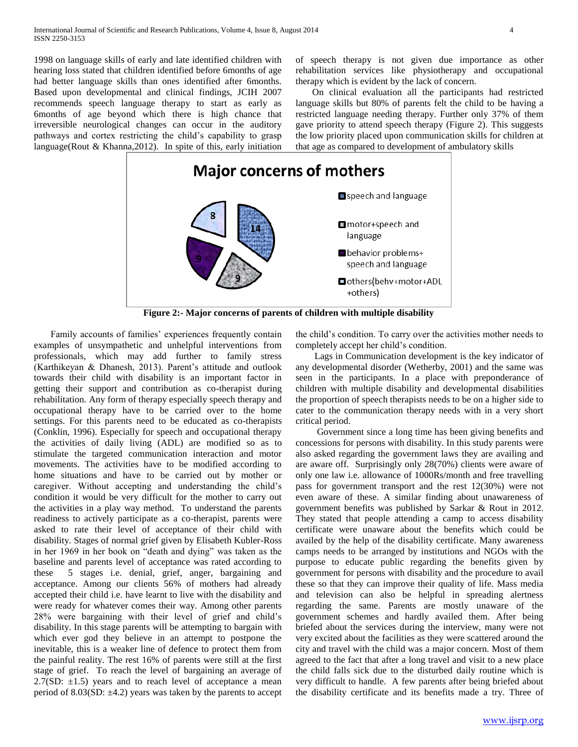1998 on language skills of early and late identified children with hearing loss stated that children identified before 6months of age had better language skills than ones identified after 6months. Based upon developmental and clinical findings, JCIH 2007 recommends speech language therapy to start as early as 6months of age beyond which there is high chance that irreversible neurological changes can occur in the auditory pathways and cortex restricting the child's capability to grasp language(Rout & Khanna,2012). In spite of this, early initiation of speech therapy is not given due importance as other rehabilitation services like physiotherapy and occupational therapy which is evident by the lack of concern.

 On clinical evaluation all the participants had restricted language skills but 80% of parents felt the child to be having a restricted language needing therapy. Further only 37% of them gave priority to attend speech therapy (Figure 2). This suggests the low priority placed upon communication skills for children at that age as compared to development of ambulatory skills



**Figure 2:- Major concerns of parents of children with multiple disability**

 Family accounts of families' experiences frequently contain examples of unsympathetic and unhelpful interventions from professionals, which may add further to family stress (Karthikeyan & Dhanesh, 2013). Parent's attitude and outlook towards their child with disability is an important factor in getting their support and contribution as co-therapist during rehabilitation. Any form of therapy especially speech therapy and occupational therapy have to be carried over to the home settings. For this parents need to be educated as co-therapists (Conklin, 1996). Especially for speech and occupational therapy the activities of daily living (ADL) are modified so as to stimulate the targeted communication interaction and motor movements. The activities have to be modified according to home situations and have to be carried out by mother or caregiver. Without accepting and understanding the child's condition it would be very difficult for the mother to carry out the activities in a play way method. To understand the parents readiness to actively participate as a co-therapist, parents were asked to rate their level of acceptance of their child with disability. Stages of normal grief given by Elisabeth Kubler-Ross in her 1969 in her book on "death and dying" was taken as the baseline and parents level of acceptance was rated according to these 5 stages i.e. denial, grief, anger, bargaining and acceptance. Among our clients 56% of mothers had already accepted their child i.e. have learnt to live with the disability and were ready for whatever comes their way. Among other parents 28% were bargaining with their level of grief and child's disability. In this stage parents will be attempting to bargain with which ever god they believe in an attempt to postpone the inevitable, this is a weaker line of defence to protect them from the painful reality. The rest 16% of parents were still at the first stage of grief. To reach the level of bargaining an average of 2.7(SD:  $\pm$ 1.5) years and to reach level of acceptance a mean period of 8.03(SD:  $\pm$ 4.2) years was taken by the parents to accept

the child's condition. To carry over the activities mother needs to completely accept her child's condition.

 Lags in Communication development is the key indicator of any developmental disorder (Wetherby, 2001) and the same was seen in the participants. In a place with preponderance of children with multiple disability and developmental disabilities the proportion of speech therapists needs to be on a higher side to cater to the communication therapy needs with in a very short critical period.

 Government since a long time has been giving benefits and concessions for persons with disability. In this study parents were also asked regarding the government laws they are availing and are aware off. Surprisingly only 28(70%) clients were aware of only one law i.e. allowance of 1000Rs/month and free travelling pass for government transport and the rest 12(30%) were not even aware of these. A similar finding about unawareness of government benefits was published by Sarkar & Rout in 2012. They stated that people attending a camp to access disability certificate were unaware about the benefits which could be availed by the help of the disability certificate. Many awareness camps needs to be arranged by institutions and NGOs with the purpose to educate public regarding the benefits given by government for persons with disability and the procedure to avail these so that they can improve their quality of life. Mass media and television can also be helpful in spreading alertness regarding the same. Parents are mostly unaware of the government schemes and hardly availed them. After being briefed about the services during the interview, many were not very excited about the facilities as they were scattered around the city and travel with the child was a major concern. Most of them agreed to the fact that after a long travel and visit to a new place the child falls sick due to the disturbed daily routine which is very difficult to handle. A few parents after being briefed about the disability certificate and its benefits made a try. Three of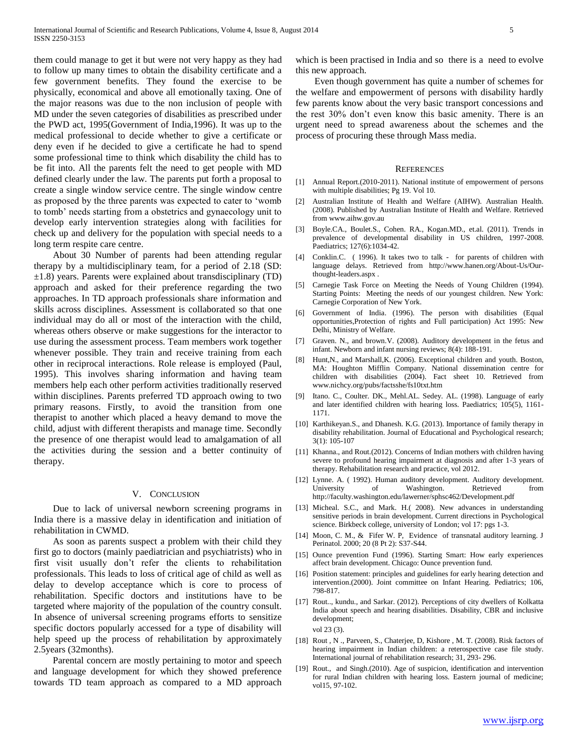them could manage to get it but were not very happy as they had to follow up many times to obtain the disability certificate and a few government benefits. They found the exercise to be physically, economical and above all emotionally taxing. One of the major reasons was due to the non inclusion of people with MD under the seven categories of disabilities as prescribed under the PWD act, 1995(Government of India,1996). It was up to the medical professional to decide whether to give a certificate or deny even if he decided to give a certificate he had to spend some professional time to think which disability the child has to be fit into. All the parents felt the need to get people with MD defined clearly under the law. The parents put forth a proposal to create a single window service centre. The single window centre as proposed by the three parents was expected to cater to 'womb to tomb' needs starting from a obstetrics and gynaecology unit to develop early intervention strategies along with facilities for check up and delivery for the population with special needs to a long term respite care centre.

 About 30 Number of parents had been attending regular therapy by a multidisciplinary team, for a period of 2.18 (SD: ±1.8) years. Parents were explained about transdisciplinary (TD) approach and asked for their preference regarding the two approaches. In TD approach professionals share information and skills across disciplines. Assessment is collaborated so that one individual may do all or most of the interaction with the child, whereas others observe or make suggestions for the interactor to use during the assessment process. Team members work together whenever possible. They train and receive training from each other in reciprocal interactions. Role release is employed (Paul, 1995). This involves sharing information and having team members help each other perform activities traditionally reserved within disciplines. Parents preferred TD approach owing to two primary reasons. Firstly, to avoid the transition from one therapist to another which placed a heavy demand to move the child, adjust with different therapists and manage time. Secondly the presence of one therapist would lead to amalgamation of all the activities during the session and a better continuity of therapy.

#### V. CONCLUSION

 Due to lack of universal newborn screening programs in India there is a massive delay in identification and initiation of rehabilitation in CWMD.

 As soon as parents suspect a problem with their child they first go to doctors (mainly paediatrician and psychiatrists) who in first visit usually don't refer the clients to rehabilitation professionals. This leads to loss of critical age of child as well as delay to develop acceptance which is core to process of rehabilitation. Specific doctors and institutions have to be targeted where majority of the population of the country consult. In absence of universal screening programs efforts to sensitize specific doctors popularly accessed for a type of disability will help speed up the process of rehabilitation by approximately 2.5years (32months).

 Parental concern are mostly pertaining to motor and speech and language development for which they showed preference towards TD team approach as compared to a MD approach

which is been practised in India and so there is a need to evolve this new approach.

 Even though government has quite a number of schemes for the welfare and empowerment of persons with disability hardly few parents know about the very basic transport concessions and the rest 30% don't even know this basic amenity. There is an urgent need to spread awareness about the schemes and the process of procuring these through Mass media.

#### **REFERENCES**

- [1] Annual Report.(2010-2011). National institute of empowerment of persons with multiple disabilities; Pg 19. Vol 10.
- [2] Australian Institute of Health and Welfare (AIHW). Australian Health. (2008). Published by Australian Institute of Health and Welfare. Retrieved from www.aihw.gov.au
- [3] Boyle.CA., Boulet.S., Cohen. RA., Kogan.MD., et.al. (2011). Trends in prevalence of developmental disability in US children, 1997-2008. Paediatrics; 127(6):1034-42.
- [4] Conklin.C. (1996). It takes two to talk for parents of children with language delays. Retrieved from http://www.hanen.org/About-Us/Ourthought-leaders.aspx .
- [5] Carnegie Task Force on Meeting the Needs of Young Children (1994). Starting Points: Meeting the needs of our youngest children. New York: Carnegie Corporation of New York.
- [6] Government of India. (1996). The person with disabilities (Equal opportunities,Protection of rights and Full participation) Act 1995: New Delhi, Ministry of Welfare.
- Graven. N., and brown.V. (2008). Auditory development in the fetus and infant. Newborn and infant nursing reviews; 8(4): 188-191.
- [8] Hunt, N., and Marshall, K. (2006). Exceptional children and youth. Boston, MA: Houghton Mifflin Company. National dissemination centre for children with disabilities (2004). Fact sheet 10. Retrieved from www.nichcy.org/pubs/factsshe/fs10txt.htm
- [9] Itano. C., Coulter. DK., Mehl.AL. Sedey. AL. (1998). Language of early and later identified children with hearing loss. Paediatrics; 105(5), 1161- 1171.
- [10] Karthikeyan.S., and Dhanesh. K.G. (2013). Importance of family therapy in disability rehabilitation. Journal of Educational and Psychological research; 3(1): 105-107
- [11] Khanna., and Rout.(2012). Concerns of Indian mothers with children having severe to profound hearing impairment at diagnosis and after 1-3 years of therapy. Rehabilitation research and practice, vol 2012.
- [12] Lynne. A. ( 1992). Human auditory development. Auditory development. University of Washington. Retrieved from http://faculty.washington.edu/lawerner/sphsc462/Development.pdf
- [13] Micheal. S.C., and Mark. H.( 2008). New advances in understanding sensitive periods in brain development. Current directions in Psychological science. Birkbeck college, university of London; vol 17: pgs 1-3.
- [14] Moon, C. M., & Fifer W. P, Evidence of transnatal auditory learning. J Perinatol. 2000; 20 (8 Pt 2): S37-S44.
- [15] Ounce prevention Fund (1996). Starting Smart: How early experiences affect brain development. Chicago: Ounce prevention fund.
- [16] Position statement: principles and guidelines for early hearing detection and intervention.(2000). Joint committee on Infant Hearing. Pediatrics; 106, 798-817.
- [17] Rout.., kundu., and Sarkar. (2012). Perceptions of city dwellers of Kolkatta India about speech and hearing disabilities. Disability, CBR and inclusive development; vol 23 (3).
- [18] Rout, N., Parveen, S., Chaterjee, D, Kishore, M. T. (2008). Risk factors of hearing impairment in Indian children: a reterospective case file study. International journal of rehabilitation research; 31, 293- 296.
- [19] Rout., and Singh.(2010). Age of suspicion, identification and intervention for rural Indian children with hearing loss. Eastern journal of medicine; vol15, 97-102.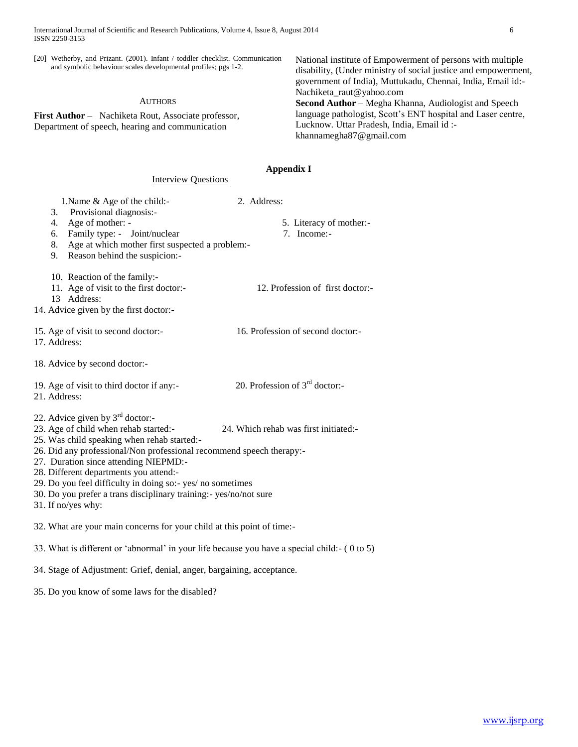Interview Questions

[20] Wetherby, and Prizant. (2001). Infant / toddler checklist. Communication and symbolic behaviour scales developmental profiles; pgs 1-2.

#### AUTHORS

**First Author** – Nachiketa Rout, Associate professor, Department of speech, hearing and communication

National institute of Empowerment of persons with multiple disability, (Under ministry of social justice and empowerment, government of India), Muttukadu, Chennai, India, Email id:- Nachiketa\_raut@yahoo.com **Second Author** – Megha Khanna, Audiologist and Speech language pathologist, Scott's ENT hospital and Laser centre, Lucknow. Uttar Pradesh, India, Email id : khannamegha87@gmail.com

# **Appendix I**

| 1. Name & Age of the child:-<br>Provisional diagnosis:-<br>3.<br>Age of mother: -<br>4.<br>Family type: - Joint/nuclear<br>6.<br>Age at which mother first suspected a problem:-<br>8.<br>Reason behind the suspicion:-<br>9.                                                                                                                                                                                                                                                              | 2. Address:<br>5. Literacy of mother:-<br>7. Income:- |
|--------------------------------------------------------------------------------------------------------------------------------------------------------------------------------------------------------------------------------------------------------------------------------------------------------------------------------------------------------------------------------------------------------------------------------------------------------------------------------------------|-------------------------------------------------------|
| 10. Reaction of the family:-<br>11. Age of visit to the first doctor:-<br>13 Address:<br>14. Advice given by the first doctor:-                                                                                                                                                                                                                                                                                                                                                            | 12. Profession of first doctor:-                      |
| 15. Age of visit to second doctor:-<br>17. Address:                                                                                                                                                                                                                                                                                                                                                                                                                                        | 16. Profession of second doctor:-                     |
| 18. Advice by second doctor:-                                                                                                                                                                                                                                                                                                                                                                                                                                                              |                                                       |
| 19. Age of visit to third doctor if any:-<br>21. Address:                                                                                                                                                                                                                                                                                                                                                                                                                                  | 20. Profession of $3rd$ doctor:-                      |
| 22. Advice given by $3^{rd}$ doctor:-<br>23. Age of child when rehab started:-<br>24. Which rehab was first initiated:-<br>25. Was child speaking when rehab started:-<br>26. Did any professional/Non professional recommend speech therapy:-<br>27. Duration since attending NIEPMD:-<br>28. Different departments you attend:-<br>29. Do you feel difficulty in doing so:- yes/ no sometimes<br>30. Do you prefer a trans disciplinary training:- yes/no/not sure<br>31. If no/yes why: |                                                       |
| 32. What are your main concerns for your child at this point of time:-                                                                                                                                                                                                                                                                                                                                                                                                                     |                                                       |
| 33. What is different or 'abnormal' in your life because you have a special child:- (0 to 5)                                                                                                                                                                                                                                                                                                                                                                                               |                                                       |
| 34. Stage of Adjustment: Grief, denial, anger, bargaining, acceptance.                                                                                                                                                                                                                                                                                                                                                                                                                     |                                                       |

35. Do you know of some laws for the disabled?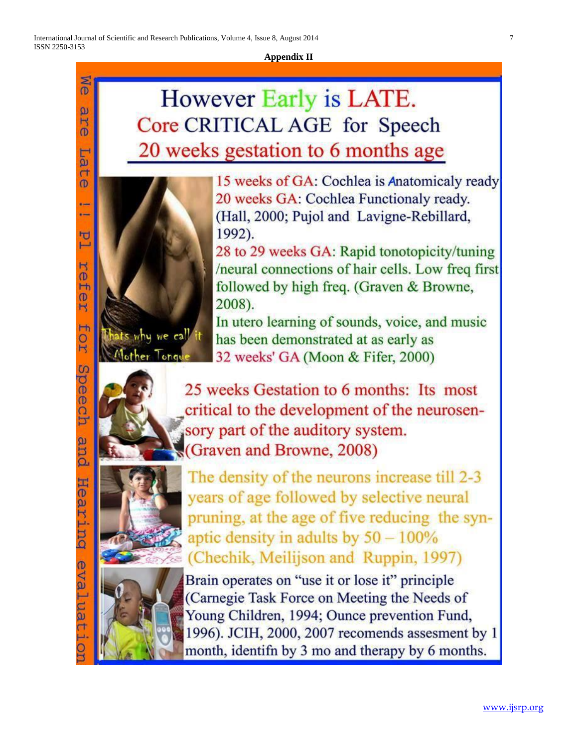Me

 $\omega$ 

Ĥ  $\overline{0}$ 

**Tid**  $\mathsf{r}$ 

 $\mathbf{D}$ 

н.

口  $\vdash$ 

 $\mathbb{R}$ 

**Cej** 

H  $\frac{1}{2}$ 

H

R

Speech

pue

Hearing

eval

.ua

 $\overline{\mathsf{d}}$ 







The density of the neurons increase till 2-3 years of age followed by selective neural pruning, at the age of five reducing the synaptic density in adults by  $50 - 100\%$ (Chechik, Meilijson and Ruppin, 1997)

Brain operates on "use it or lose it" principle (Carnegie Task Force on Meeting the Needs of Young Children, 1994; Ounce prevention Fund, 1996). JCIH, 2000, 2007 recomends assesment by 1 month, identifn by 3 mo and therapy by 6 months.